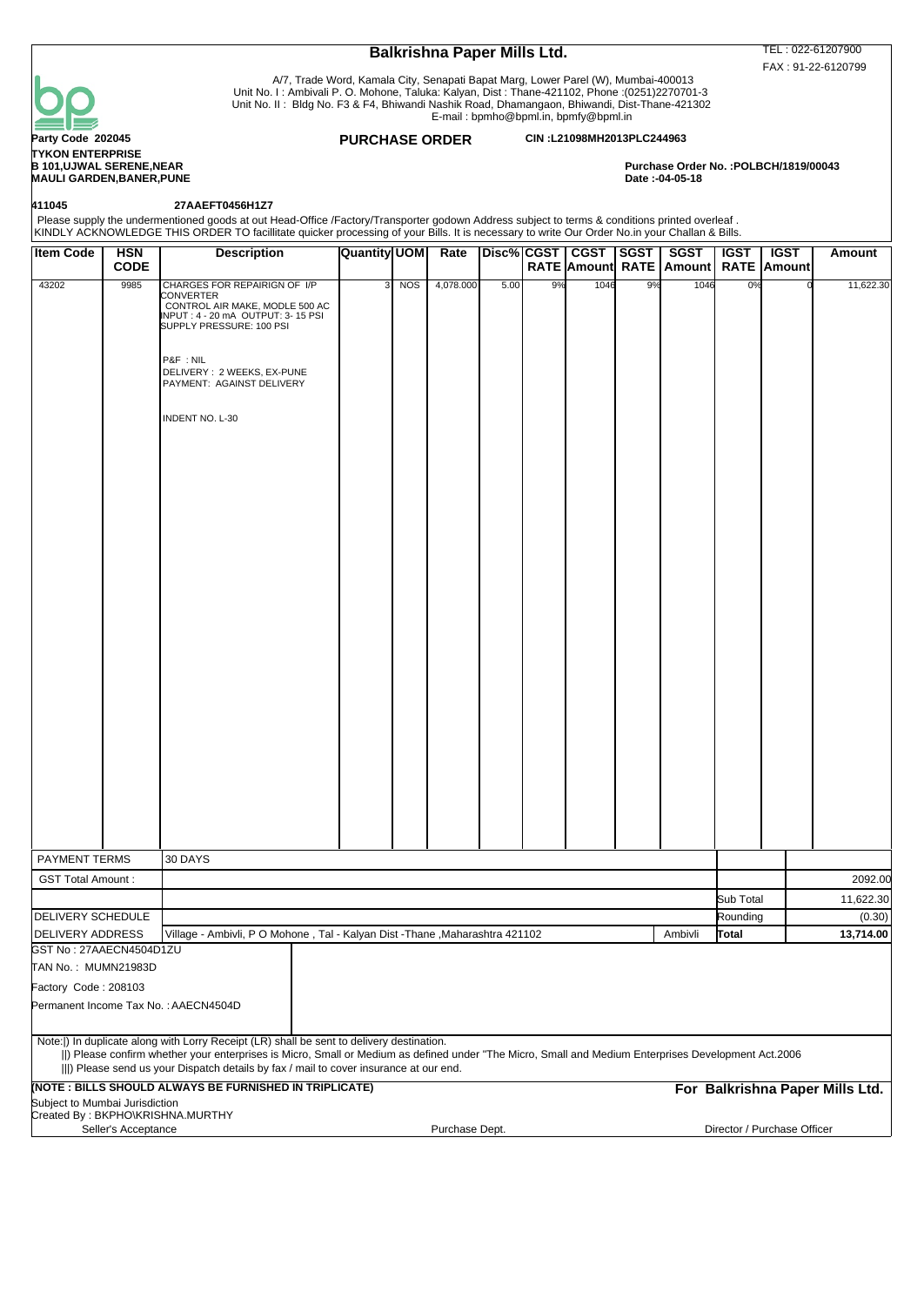

**TYKON ENTERPRISE<br>B 101.UJWAL SERENE.NEAR MAULI GARDEN,BANER,PUNE** 

**411045 27AAEFT0456H1Z7**

| Please supply the undermentioned goods at out Head-Office /Factory/Transporter godown Address subject to terms & conditions printed overleaf .<br>|KINDLY ACKNOWLEDGE THIS ORDER TO facillitate quicker processing of your Bil

# **Item Code** | HSN **CODE Description Quantity UOM Rate RATE Amount RATE Amount RATE Amount CGST SGST SGST IGST IGST Amount** 43202 9985 CHARGES FOR REPAIRIGN OF I/P CONVERTER CONTROL AIR MAKE, MODLE 500 AC 3 NOS 4,078.000 5.00 9% 1046 9% 1046 0% 0 11,622.30 INPUT : 4 - 20 mA OUTPUT: 3- 15 PSI SUPPLY PRESSURE: 100 PSI P&F : NIL DELIVERY : 2 WEEKS, EX-PUNE PAYMENT: AGAINST DELIVERY INDENT NO. L-30 PAYMENT TERMS 30 DAYS GST Total Amount : 2092.00 Sub Total 11,622.30 DELIVERY SCHEDULE NEXT LOCAL COMMUNICATION COMMUNICATION COMMUNICATION COMMUNICATION COMMUNICATION COMMUNICATION DELIVERY ADDRESS Village - Ambivli, PO Mohone , Tal - Kalyan Dist -Thane ,Maharashtra 421102 **Ambivli rotal** 13,714.00 GST No : 27AAECN4504D1ZU TAN No. : MUMN21983D Factory Code : 208103 Permanent Income Tax No. : AAECN4504D Note:|) In duplicate along with Lorry Receipt (LR) shall be sent to delivery destination. ||) Please confirm whether your enterprises is Micro, Small or Medium as defined under "The Micro, Small and Medium Enterprises Development Act.2006 |||) Please send us your Dispatch details by fax / mail to cover insurance at our end. **(NOTE : BILLS SHOULD ALWAYS BE FURNISHED IN TRIPLICATE) For Balkrishna Paper Mills Ltd.** Subject to Mumbai Jurisdiction Created By : BKPHO\KRISHNA.MURTHY Seller's Acceptance **Purchase Dept.** Purchase Dept. **Director / Purchase Officer**

Balkrishna Paper Mills Ltd. TEL: 022-61207900 FAX : 91-22-6120799

Purchase Order No. :POLBCH/1819/00043<br>Date :-04-05-18

 A/7, Trade Word, Kamala City, Senapati Bapat Marg, Lower Parel (W), Mumbai-400013 Unit No. I : Ambivali P. O. Mohone, Taluka: Kalyan, Dist : Thane-421102, Phone :(0251)2270701-3 Unit No. II : Bldg No. F3 & F4, Bhiwandi Nashik Road, Dhamangaon, Bhiwandi, Dist-Thane-421302

E-mail : bpmho@bpml.in, bpmfy@bpml.in

### **Party Code 202045 PURCHASE ORDER CIN :L21098MH2013PLC244963**